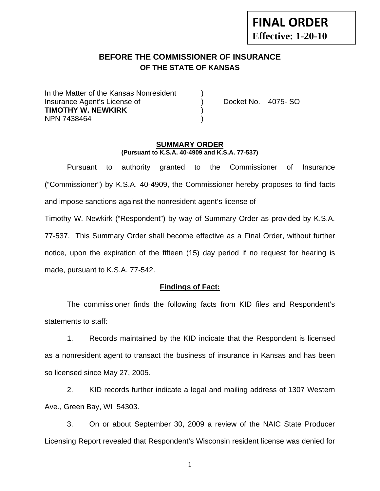# **FINAL ORDER Effective: 1-20-10**

# **BEFORE THE COMMISSIONER OF INSURANCE OF THE STATE OF KANSAS**

In the Matter of the Kansas Nonresident Insurance Agent's License of ) Docket No. 4075- SO **TIMOTHY W. NEWKIRK** ) NPN 7438464 )

#### **SUMMARY ORDER (Pursuant to K.S.A. 40-4909 and K.S.A. 77-537)**

 Pursuant to authority granted to the Commissioner of Insurance ("Commissioner") by K.S.A. 40-4909, the Commissioner hereby proposes to find facts and impose sanctions against the nonresident agent's license of

Timothy W. Newkirk ("Respondent") by way of Summary Order as provided by K.S.A.

77-537. This Summary Order shall become effective as a Final Order, without further notice, upon the expiration of the fifteen (15) day period if no request for hearing is made, pursuant to K.S.A. 77-542.

### **Findings of Fact:**

 The commissioner finds the following facts from KID files and Respondent's statements to staff:

 1. Records maintained by the KID indicate that the Respondent is licensed as a nonresident agent to transact the business of insurance in Kansas and has been so licensed since May 27, 2005.

 2. KID records further indicate a legal and mailing address of 1307 Western Ave., Green Bay, WI 54303.

 3. On or about September 30, 2009 a review of the NAIC State Producer Licensing Report revealed that Respondent's Wisconsin resident license was denied for

1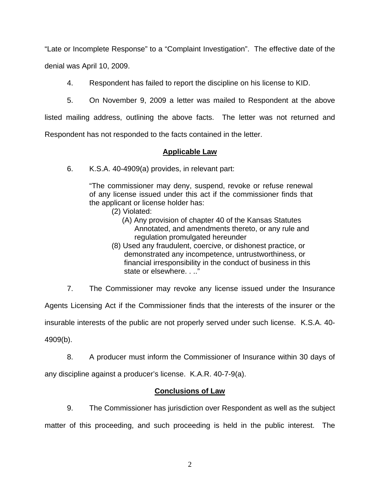"Late or Incomplete Response" to a "Complaint Investigation". The effective date of the denial was April 10, 2009.

4. Respondent has failed to report the discipline on his license to KID.

5. On November 9, 2009 a letter was mailed to Respondent at the above

listed mailing address, outlining the above facts. The letter was not returned and

Respondent has not responded to the facts contained in the letter.

### **Applicable Law**

6. K.S.A. 40-4909(a) provides, in relevant part:

"The commissioner may deny, suspend, revoke or refuse renewal of any license issued under this act if the commissioner finds that the applicant or license holder has:

- (2) Violated:
	- (A) Any provision of chapter 40 of the Kansas Statutes Annotated, and amendments thereto, or any rule and regulation promulgated hereunder
- (8) Used any fraudulent, coercive, or dishonest practice, or demonstrated any incompetence, untrustworthiness, or financial irresponsibility in the conduct of business in this state or elsewhere. . .."

7. The Commissioner may revoke any license issued under the Insurance

Agents Licensing Act if the Commissioner finds that the interests of the insurer or the

insurable interests of the public are not properly served under such license. K.S.A. 40-

4909(b).

 8. A producer must inform the Commissioner of Insurance within 30 days of any discipline against a producer's license. K.A.R. 40-7-9(a).

### **Conclusions of Law**

 9. The Commissioner has jurisdiction over Respondent as well as the subject matter of this proceeding, and such proceeding is held in the public interest. The

2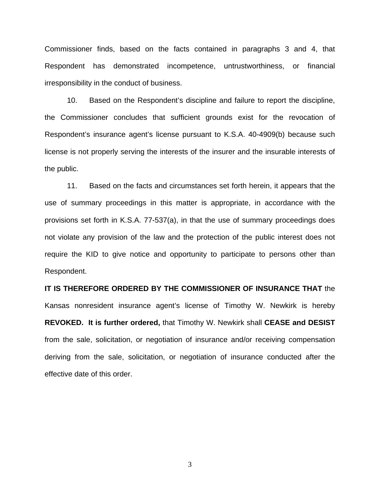Commissioner finds, based on the facts contained in paragraphs 3 and 4, that Respondent has demonstrated incompetence, untrustworthiness, or financial irresponsibility in the conduct of business.

 10. Based on the Respondent's discipline and failure to report the discipline, the Commissioner concludes that sufficient grounds exist for the revocation of Respondent's insurance agent's license pursuant to K.S.A. 40-4909(b) because such license is not properly serving the interests of the insurer and the insurable interests of the public.

 11. Based on the facts and circumstances set forth herein, it appears that the use of summary proceedings in this matter is appropriate, in accordance with the provisions set forth in K.S.A. 77-537(a), in that the use of summary proceedings does not violate any provision of the law and the protection of the public interest does not require the KID to give notice and opportunity to participate to persons other than Respondent.

**IT IS THEREFORE ORDERED BY THE COMMISSIONER OF INSURANCE THAT** the Kansas nonresident insurance agent's license of Timothy W. Newkirk is hereby **REVOKED. It is further ordered,** that Timothy W. Newkirk shall **CEASE and DESIST** from the sale, solicitation, or negotiation of insurance and/or receiving compensation deriving from the sale, solicitation, or negotiation of insurance conducted after the effective date of this order.

3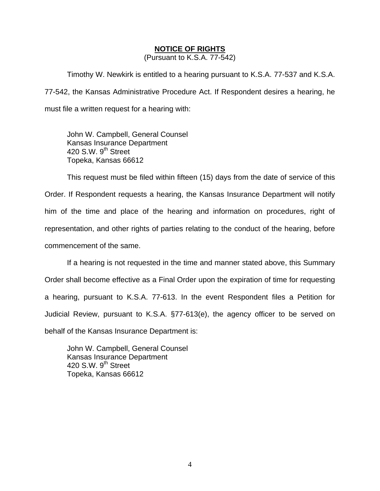#### **NOTICE OF RIGHTS**

(Pursuant to K.S.A. 77-542)

Timothy W. Newkirk is entitled to a hearing pursuant to K.S.A. 77-537 and K.S.A. 77-542, the Kansas Administrative Procedure Act. If Respondent desires a hearing, he must file a written request for a hearing with:

 John W. Campbell, General Counsel Kansas Insurance Department 420 S.W. 9<sup>th</sup> Street Topeka, Kansas 66612

This request must be filed within fifteen (15) days from the date of service of this Order. If Respondent requests a hearing, the Kansas Insurance Department will notify him of the time and place of the hearing and information on procedures, right of representation, and other rights of parties relating to the conduct of the hearing, before commencement of the same.

If a hearing is not requested in the time and manner stated above, this Summary Order shall become effective as a Final Order upon the expiration of time for requesting a hearing, pursuant to K.S.A. 77-613. In the event Respondent files a Petition for Judicial Review, pursuant to K.S.A. §77-613(e), the agency officer to be served on behalf of the Kansas Insurance Department is:

 John W. Campbell, General Counsel Kansas Insurance Department 420 S.W.  $9<sup>th</sup>$  Street Topeka, Kansas 66612